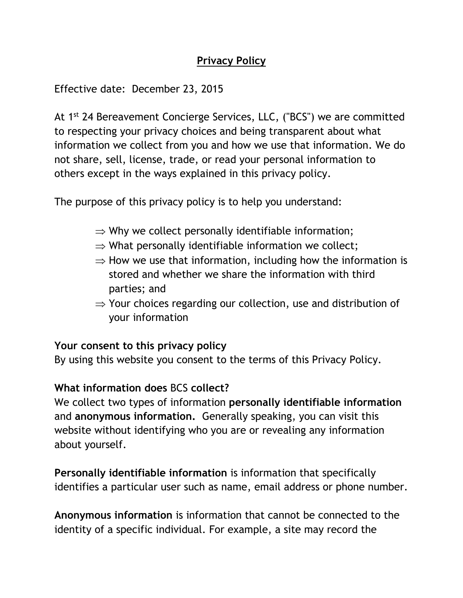## **Privacy Policy**

Effective date: December 23, 2015

At 1<sup>st</sup> 24 Bereavement Concierge Services, LLC, ("BCS") we are committed to respecting your privacy choices and being transparent about what information we collect from you and how we use that information. We do not share, sell, license, trade, or read your personal information to others except in the ways explained in this privacy policy.

The purpose of this privacy policy is to help you understand:

- $\Rightarrow$  Why we collect personally identifiable information;
- $\Rightarrow$  What personally identifiable information we collect;
- $\Rightarrow$  How we use that information, including how the information is stored and whether we share the information with third parties; and
- $\Rightarrow$  Your choices regarding our collection, use and distribution of your information

## **Your consent to this privacy policy**

By using this website you consent to the terms of this Privacy Policy.

### **What information does** BCS **collect?**

We collect two types of information **personally identifiable information** and **anonymous information.** Generally speaking, you can visit this website without identifying who you are or revealing any information about yourself.

**Personally identifiable information** is information that specifically identifies a particular user such as name, email address or phone number.

**Anonymous information** is information that cannot be connected to the identity of a specific individual. For example, a site may record the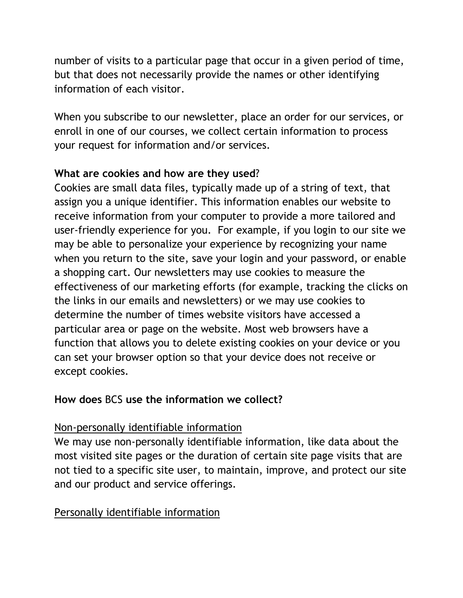number of visits to a particular page that occur in a given period of time, but that does not necessarily provide the names or other identifying information of each visitor.

When you subscribe to our newsletter, place an order for our services, or enroll in one of our courses, we collect certain information to process your request for information and/or services.

### **What are cookies and how are they used**?

Cookies are small data files, typically made up of a string of text, that assign you a unique identifier. This information enables our website to receive information from your computer to provide a more tailored and user-friendly experience for you. For example, if you login to our site we may be able to personalize your experience by recognizing your name when you return to the site, save your login and your password, or enable a shopping cart. Our newsletters may use cookies to measure the effectiveness of our marketing efforts (for example, tracking the clicks on the links in our emails and newsletters) or we may use cookies to determine the number of times website visitors have accessed a particular area or page on the website. Most web browsers have a function that allows you to delete existing cookies on your device or you can set your browser option so that your device does not receive or except cookies.

## **How does** BCS **use the information we collect?**

## Non-personally identifiable information

We may use non-personally identifiable information, like data about the most visited site pages or the duration of certain site page visits that are not tied to a specific site user, to maintain, improve, and protect our site and our product and service offerings.

# Personally identifiable information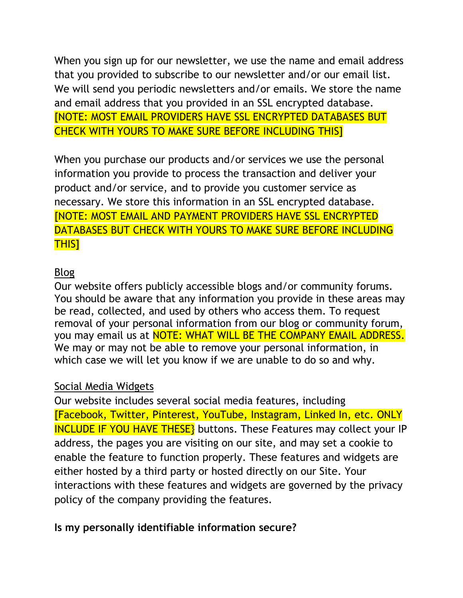When you sign up for our newsletter, we use the name and email address that you provided to subscribe to our newsletter and/or our email list. We will send you periodic newsletters and/or emails. We store the name and email address that you provided in an SSL encrypted database. [NOTE: MOST EMAIL PROVIDERS HAVE SSL ENCRYPTED DATABASES BUT CHECK WITH YOURS TO MAKE SURE BEFORE INCLUDING THIS]

When you purchase our products and/or services we use the personal information you provide to process the transaction and deliver your product and/or service, and to provide you customer service as necessary. We store this information in an SSL encrypted database. [NOTE: MOST EMAIL AND PAYMENT PROVIDERS HAVE SSL ENCRYPTED DATABASES BUT CHECK WITH YOURS TO MAKE SURE BEFORE INCLUDING THIS]

### Blog

Our website offers publicly accessible blogs and/or community forums. You should be aware that any information you provide in these areas may be read, collected, and used by others who access them. To request removal of your personal information from our blog or community forum, you may email us at **NOTE: WHAT WILL BE THE COMPANY EMAIL ADDRESS.** We may or may not be able to remove your personal information, in which case we will let you know if we are unable to do so and why.

#### Social Media Widgets

Our website includes several social media features, including [Facebook, Twitter, Pinterest, YouTube, Instagram, Linked In, etc. ONLY INCLUDE IF YOU HAVE THESE} buttons. These Features may collect your IP address, the pages you are visiting on our site, and may set a cookie to enable the feature to function properly. These features and widgets are either hosted by a third party or hosted directly on our Site. Your interactions with these features and widgets are governed by the privacy policy of the company providing the features.

#### **Is my personally identifiable information secure?**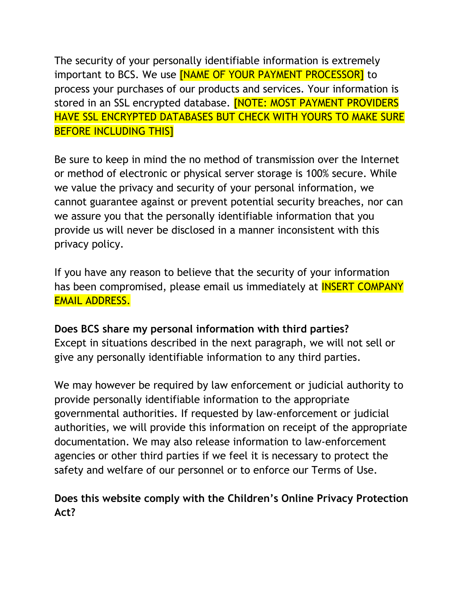The security of your personally identifiable information is extremely important to BCS. We use **[NAME OF YOUR PAYMENT PROCESSOR]** to process your purchases of our products and services. Your information is stored in an SSL encrypted database. **[NOTE: MOST PAYMENT PROVIDERS** HAVE SSL ENCRYPTED DATABASES BUT CHECK WITH YOURS TO MAKE SURE BEFORE INCLUDING THIS]

Be sure to keep in mind the no method of transmission over the Internet or method of electronic or physical server storage is 100% secure. While we value the privacy and security of your personal information, we cannot guarantee against or prevent potential security breaches, nor can we assure you that the personally identifiable information that you provide us will never be disclosed in a manner inconsistent with this privacy policy.

If you have any reason to believe that the security of your information has been compromised, please email us immediately at **INSERT COMPANY** EMAIL ADDRESS.

## **Does BCS share my personal information with third parties?**

Except in situations described in the next paragraph, we will not sell or give any personally identifiable information to any third parties.

We may however be required by law enforcement or judicial authority to provide personally identifiable information to the appropriate governmental authorities. If requested by law-enforcement or judicial authorities, we will provide this information on receipt of the appropriate documentation. We may also release information to law-enforcement agencies or other third parties if we feel it is necessary to protect the safety and welfare of our personnel or to enforce our Terms of Use.

## **Does this website comply with the Children's Online Privacy Protection Act?**